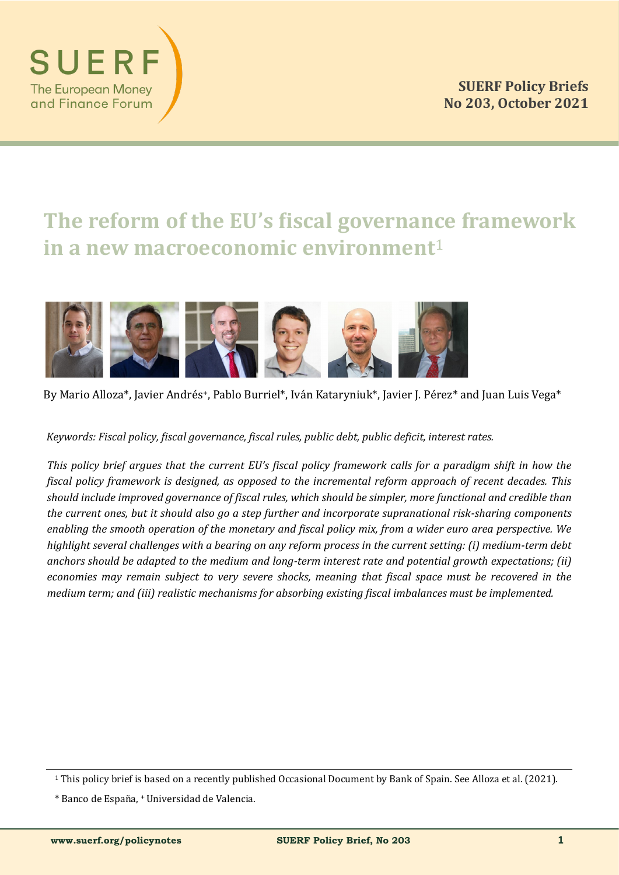

# **The reform of the EU's fiscal governance framework in a new macroeconomic environment**<sup>1</sup>



By Mario Alloza\*, Javier Andrés<sup>+</sup>, Pablo Burriel\*, Iván Kataryniuk\*, Javier J. Pérez\* and Juan Luis Vega\*

*Keywords: Fiscal policy, fiscal governance, fiscal rules, public debt, public deficit, interest rates.*

*This policy brief argues that the current EU's fiscal policy framework calls for a paradigm shift in how the fiscal policy framework is designed, as opposed to the incremental reform approach of recent decades. This should include improved governance of fiscal rules, which should be simpler, more functional and credible than the current ones, but it should also go a step further and incorporate supranational risk-sharing components enabling the smooth operation of the monetary and fiscal policy mix, from a wider euro area perspective. We highlight several challenges with a bearing on any reform process in the current setting: (i) medium-term debt anchors should be adapted to the medium and long-term interest rate and potential growth expectations; (ii) economies may remain subject to very severe shocks, meaning that fiscal space must be recovered in the medium term; and (iii) realistic mechanisms for absorbing existing fiscal imbalances must be implemented.*

SUER

**The European Money** and Finance Forum

<sup>1</sup> This policy brief is based on a recently published Occasional Document by Bank of Spain. See Alloza et al. (2021).

<sup>\*</sup> Banco de España, + Universidad de Valencia.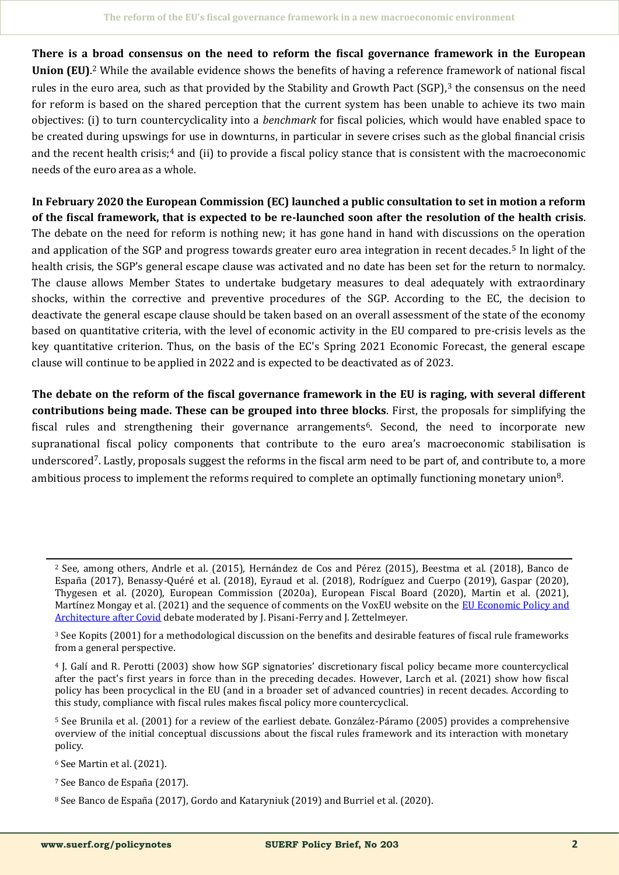**There is a broad consensus on the need to reform the fiscal governance framework in the European Union (EU)**. <sup>2</sup> While the available evidence shows the benefits of having a reference framework of national fiscal rules in the euro area, such as that provided by the Stability and Growth Pact (SGP),<sup>3</sup> the consensus on the need for reform is based on the shared perception that the current system has been unable to achieve its two main objectives: (i) to turn countercyclicality into a *benchmark* for fiscal policies, which would have enabled space to be created during upswings for use in downturns, in particular in severe crises such as the global financial crisis and the recent health crisis;<sup>4</sup> and (ii) to provide a fiscal policy stance that is consistent with the macroeconomic needs of the euro area as a whole.

**In February 2020 the European Commission (EC) launched a public consultation to set in motion a reform of the fiscal framework, that is expected to be re-launched soon after the resolution of the health crisis**. The debate on the need for reform is nothing new; it has gone hand in hand with discussions on the operation and application of the SGP and progress towards greater euro area integration in recent decades.<sup>5</sup> In light of the health crisis, the SGP's general escape clause was activated and no date has been set for the return to normalcy. The clause allows Member States to undertake budgetary measures to deal adequately with extraordinary shocks, within the corrective and preventive procedures of the SGP. According to the EC, the decision to deactivate the general escape clause should be taken based on an overall assessment of the state of the economy based on quantitative criteria, with the level of economic activity in the EU compared to pre-crisis levels as the key quantitative criterion. Thus, on the basis of the EC's Spring 2021 Economic Forecast, the general escape clause will continue to be applied in 2022 and is expected to be deactivated as of 2023.

**The debate on the reform of the fiscal governance framework in the EU is raging, with several different contributions being made. These can be grouped into three blocks**. First, the proposals for simplifying the fiscal rules and strengthening their governance arrangements6. Second, the need to incorporate new supranational fiscal policy components that contribute to the euro area's macroeconomic stabilisation is underscored7. Lastly, proposals suggest the reforms in the fiscal arm need to be part of, and contribute to, a more ambitious process to implement the reforms required to complete an optimally functioning monetary union8.

<sup>6</sup> See Martin et al. (2021).

<sup>&</sup>lt;sup>2</sup> See, among others, Andrle et al. (2015), Hernández de Cos and Pérez (2015), Beestma et al. (2018), Banco de España (2017), Benassy-Quéré et al. (2018), Eyraud et al. (2018), Rodríguez and Cuerpo (2019), Gaspar (2020), Thygesen et al. (2020), European Commission (2020a), European Fiscal Board (2020), Martin et al. (2021), Martínez Mongay et al. (2021) and the sequence of comments on the VoxEU website on the EU Economic Policy and [Architecture after Covid](https://voxeu.org/debates/euro-area-reform) debate moderated by J. Pisani-Ferry and J. Zettelmeyer.

<sup>3</sup> See Kopits (2001) for a methodological discussion on the benefits and desirable features of fiscal rule frameworks from a general perspective.

<sup>4</sup> J. Galí and R. Perotti (2003) show how SGP signatories' discretionary fiscal policy became more countercyclical after the pact's first years in force than in the preceding decades. However, Larch et al. (2021) show how fiscal policy has been procyclical in the EU (and in a broader set of advanced countries) in recent decades. According to this study, compliance with fiscal rules makes fiscal policy more countercyclical.

<sup>&</sup>lt;sup>5</sup> See Brunila et al. (2001) for a review of the earliest debate. González-Páramo (2005) provides a comprehensive overview of the initial conceptual discussions about the fiscal rules framework and its interaction with monetary policy.

<sup>&</sup>lt;sup>7</sup> See Banco de España (2017).

<sup>&</sup>lt;sup>8</sup> See Banco de España (2017), Gordo and Kataryniuk (2019) and Burriel et al. (2020).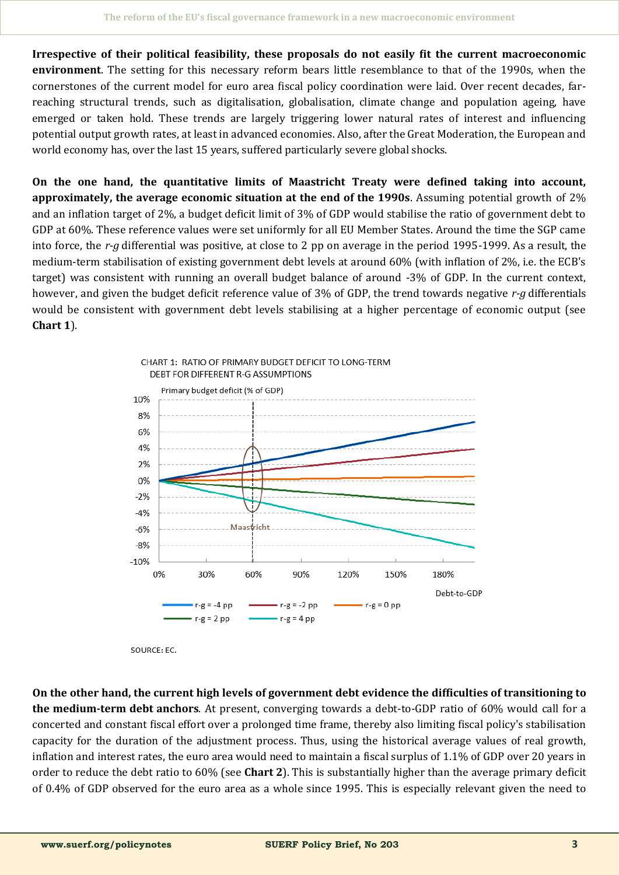**Irrespective of their political feasibility, these proposals do not easily fit the current macroeconomic environment**. The setting for this necessary reform bears little resemblance to that of the 1990s, when the cornerstones of the current model for euro area fiscal policy coordination were laid. Over recent decades, farreaching structural trends, such as digitalisation, globalisation, climate change and population ageing, have emerged or taken hold. These trends are largely triggering lower natural rates of interest and influencing potential output growth rates, at least in advanced economies. Also, after the Great Moderation, the European and world economy has, over the last 15 years, suffered particularly severe global shocks.

**On the one hand, the quantitative limits of Maastricht Treaty were defined taking into account, approximately, the average economic situation at the end of the 1990s**. Assuming potential growth of 2% and an inflation target of 2%, a budget deficit limit of 3% of GDP would stabilise the ratio of government debt to GDP at 60%. These reference values were set uniformly for all EU Member States. Around the time the SGP came into force, the *r-g* differential was positive, at close to 2 pp on average in the period 1995-1999. As a result, the medium-term stabilisation of existing government debt levels at around 60% (with inflation of 2%, i.e. the ECB's target) was consistent with running an overall budget balance of around -3% of GDP. In the current context, however, and given the budget deficit reference value of 3% of GDP, the trend towards negative *r-g* differentials would be consistent with government debt levels stabilising at a higher percentage of economic output (see **Chart 1**).



SOURCE: EC.

**On the other hand, the current high levels of government debt evidence the difficulties of transitioning to the medium-term debt anchors**. At present, converging towards a debt-to-GDP ratio of 60% would call for a concerted and constant fiscal effort over a prolonged time frame, thereby also limiting fiscal policy's stabilisation capacity for the duration of the adjustment process. Thus, using the historical average values of real growth, inflation and interest rates, the euro area would need to maintain a fiscal surplus of 1.1% of GDP over 20 years in order to reduce the debt ratio to 60% (see **Chart 2**). This is substantially higher than the average primary deficit of 0.4% of GDP observed for the euro area as a whole since 1995. This is especially relevant given the need to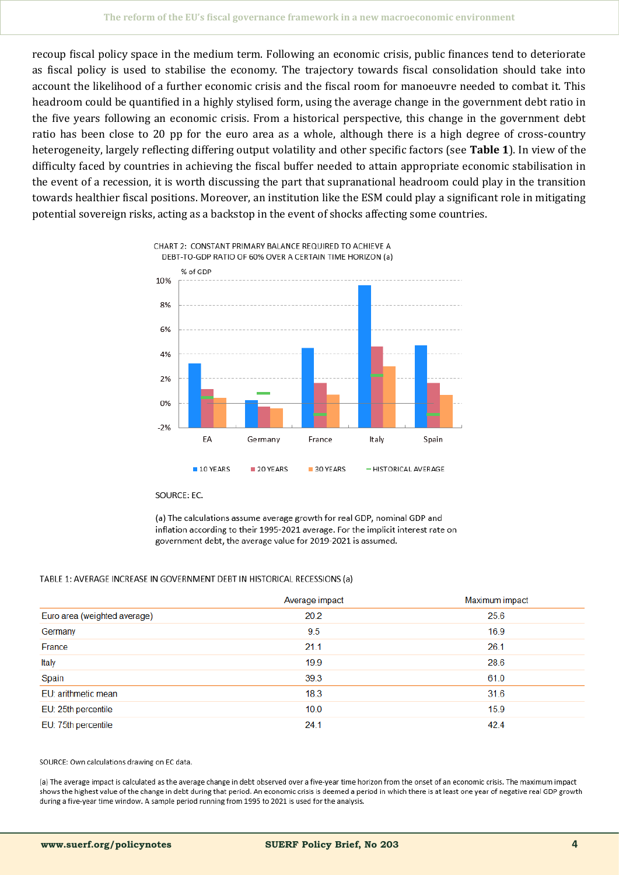recoup fiscal policy space in the medium term. Following an economic crisis, public finances tend to deteriorate as fiscal policy is used to stabilise the economy. The trajectory towards fiscal consolidation should take into account the likelihood of a further economic crisis and the fiscal room for manoeuvre needed to combat it. This headroom could be quantified in a highly stylised form, using the average change in the government debt ratio in the five years following an economic crisis. From a historical perspective, this change in the government debt ratio has been close to 20 pp for the euro area as a whole, although there is a high degree of cross-country heterogeneity, largely reflecting differing output volatility and other specific factors (see **Table 1**). In view of the difficulty faced by countries in achieving the fiscal buffer needed to attain appropriate economic stabilisation in the event of a recession, it is worth discussing the part that supranational headroom could play in the transition towards healthier fiscal positions. Moreover, an institution like the ESM could play a significant role in mitigating potential sovereign risks, acting as a backstop in the event of shocks affecting some countries.



SOURCE: EC.

(a) The calculations assume average growth for real GDP, nominal GDP and inflation according to their 1995-2021 average. For the implicit interest rate on government debt, the average value for 2019-2021 is assumed.

#### TABLE 1: AVERAGE INCREASE IN GOVERNMENT DEBT IN HISTORICAL RECESSIONS (a)

|                              | Average impact | Maximum impact |
|------------------------------|----------------|----------------|
| Euro area (weighted average) | 20.2           | 25.6           |
| Germany                      | 9.5            | 16.9           |
| France                       | 21.1           | 26.1           |
| Italy                        | 19.9           | 28.6           |
| Spain                        | 39.3           | 61.0           |
| EU: arithmetic mean          | 18.3           | 31.6           |
| EU: 25th percentile          | 10.0           | 15.9           |
| EU: 75th percentile          | 24.1           | 42.4           |

SOURCE: Own calculations drawing on EC data.

(a) The average impact is calculated as the average change in debt observed over a five-year time horizon from the onset of an economic crisis. The maximum impact shows the highest value of the change in debt during that period. An economic crisis is deemed a period in which there is at least one year of negative real GDP growth during a five-year time window. A sample period running from 1995 to 2021 is used for the analysis.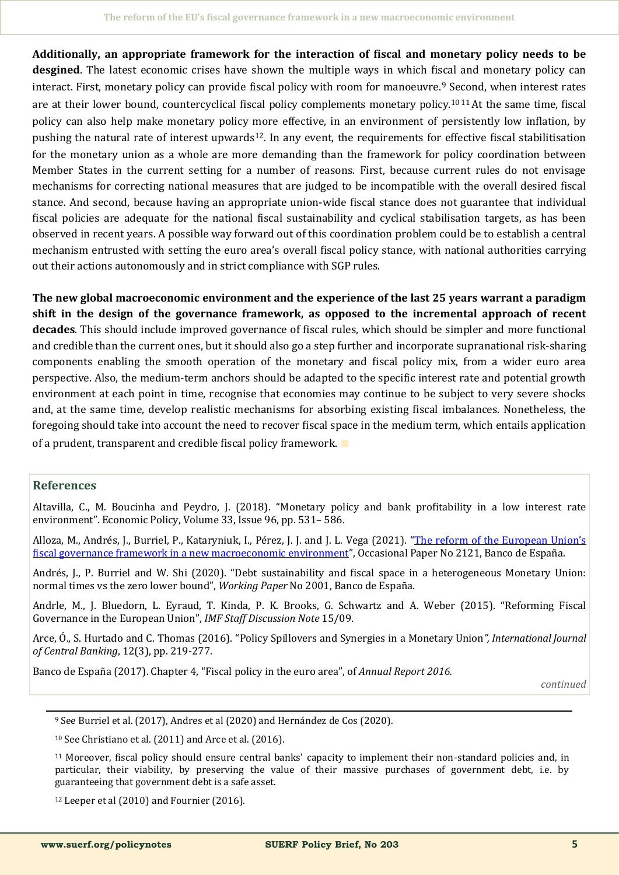**Additionally, an appropriate framework for the interaction of fiscal and monetary policy needs to be desgined**. The latest economic crises have shown the multiple ways in which fiscal and monetary policy can interact. First, monetary policy can provide fiscal policy with room for manoeuvre.<sup>9</sup> Second, when interest rates are at their lower bound, countercyclical fiscal policy complements monetary policy.<sup>10 11</sup> At the same time, fiscal policy can also help make monetary policy more effective, in an environment of persistently low inflation, by pushing the natural rate of interest upwards12. In any event, the requirements for effective fiscal stabilitisation for the monetary union as a whole are more demanding than the framework for policy coordination between Member States in the current setting for a number of reasons. First, because current rules do not envisage mechanisms for correcting national measures that are judged to be incompatible with the overall desired fiscal stance. And second, because having an appropriate union-wide fiscal stance does not guarantee that individual fiscal policies are adequate for the national fiscal sustainability and cyclical stabilisation targets, as has been observed in recent years. A possible way forward out of this coordination problem could be to establish a central mechanism entrusted with setting the euro area's overall fiscal policy stance, with national authorities carrying out their actions autonomously and in strict compliance with SGP rules.

**The new global macroeconomic environment and the experience of the last 25 years warrant a paradigm shift in the design of the governance framework, as opposed to the incremental approach of recent decades**. This should include improved governance of fiscal rules, which should be simpler and more functional and credible than the current ones, but it should also go a step further and incorporate supranational risk-sharing components enabling the smooth operation of the monetary and fiscal policy mix, from a wider euro area perspective. Also, the medium-term anchors should be adapted to the specific interest rate and potential growth environment at each point in time, recognise that economies may continue to be subject to very severe shocks and, at the same time, develop realistic mechanisms for absorbing existing fiscal imbalances. Nonetheless, the foregoing should take into account the need to recover fiscal space in the medium term, which entails application of a prudent, transparent and credible fiscal policy framework. ∎

### **References**

Altavilla, C., M. Boucinha and Peydro, J. (2018). "Monetary policy and bank profitability in a low interest rate environment". Economic Policy, Volume 33, Issue 96, pp. 531– 586.

Alloza, M., Andrés, J., Burriel, P., Kataryniuk, I., Pérez, J. J. and J. L. Vega (2021). "[The reform of the European Union](https://www.bde.es/f/webbde/SES/Secciones/Publicaciones/PublicacionesSeriadas/DocumentosOcasionales/21/Files/do2121e.pdf)'s [fiscal governance framework in a new macroeconomic environment](https://www.bde.es/f/webbde/SES/Secciones/Publicaciones/PublicacionesSeriadas/DocumentosOcasionales/21/Files/do2121e.pdf)", Occasional Paper No 2121, Banco de España.

Andrés, J., P. Burriel and W. Shi (2020). "Debt sustainability and fiscal space in a heterogeneous Monetary Union: normal times vs the zero lower bound", *Working Paper* No 2001, Banco de España.

Andrle, M., J. Bluedorn, L. Eyraud, T. Kinda, P. K. Brooks, G. Schwartz and A. Weber (2015). "Reforming Fiscal Governance in the European Union", *IMF Staff Discussion Note* 15/09.

Arce, O., S. Hurtado and C. Thomas (2016). "Policy Spillovers and Synergies in a Monetary Union", *International Journal of Central Banking*, 12(3), pp. 219-277.

Banco de España (2017). Chapter 4, "Fiscal policy in the euro area", of *Annual Report 2016*.

*continued*

<sup>10</sup> See Christiano et al. (2011) and Arce et al. (2016).

<sup>11</sup> Moreover, fiscal policy should ensure central banks' capacity to implement their non-standard policies and, in particular, their viability, by preserving the value of their massive purchases of government debt, i.e. by guaranteeing that government debt is a safe asset.

 $12$  Leeper et al (2010) and Fournier (2016).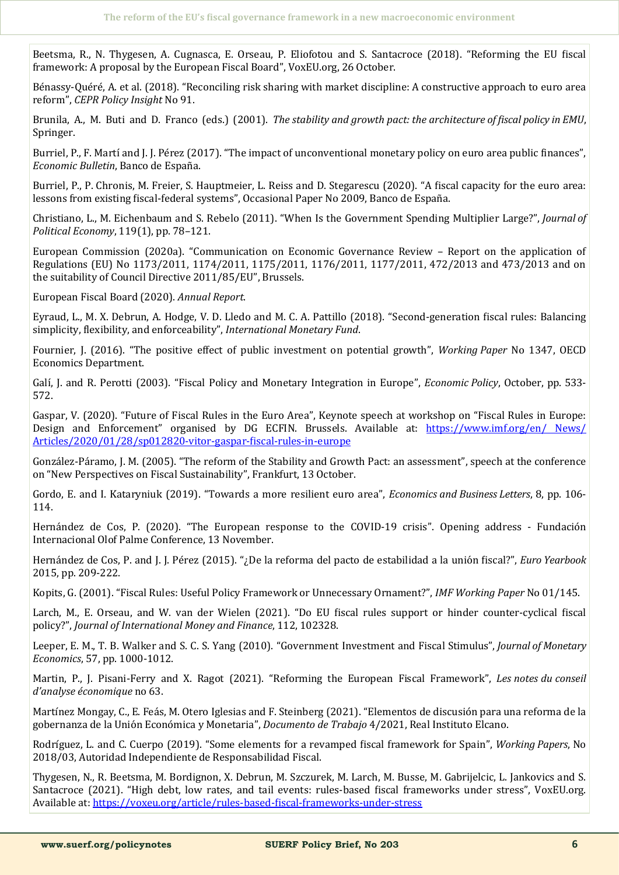Beetsma, R., N. Thygesen, A. Cugnasca, E. Orseau, P. Eliofotou and S. Santacroce (2018). "Reforming the EU fiscal framework: A proposal by the European Fiscal Board", VoxEU.org, 26 October.

Bénassy-Quéré, A. et al. (2018). "Reconciling risk sharing with market discipline: A constructive approach to euro area reform", *CEPR Policy Insight* No 91.

Brunila, A., M. Buti and D. Franco (eds.) (2001). *The stability and growth pact: the architecture of fiscal policy in EMU*, Springer.

Burriel, P., F. Martí and J. J. Pérez (2017). "The impact of unconventional monetary policy on euro area public finances", *Economic Bulletin*, Banco de España.

Burriel, P., P. Chronis, M. Freier, S. Hauptmeier, L. Reiss and D. Stegarescu (2020). "A fiscal capacity for the euro area: lessons from existing fiscal-federal systems", Occasional Paper No 2009, Banco de España.

Christiano, L., M. Eichenbaum and S. Rebelo (2011). "When Is the Government Spending Multiplier Large?", *Journal of Political Economy*, 119(1), pp. 78–121.

European Commission (2020a). "Communication on Economic Governance Review – Report on the application of Regulations (EU) No 1173/2011, 1174/2011, 1175/2011, 1176/2011, 1177/2011, 472/2013 and 473/2013 and on the suitability of Council Directive 2011/85/EU", Brussels.

European Fiscal Board (2020). *Annual Report*.

Eyraud, L., M. X. Debrun, A. Hodge, V. D. Lledo and M. C. A. Pattillo (2018). "Second-generation fiscal rules: Balancing simplicity, flexibility, and enforceability", *International Monetary Fund*.

Fournier, J. (2016). "The positive effect of public investment on potential growth", *Working Paper* No 1347, OECD Economics Department.

Galí, J. and R. Perotti (2003). "Fiscal Policy and Monetary Integration in Europe", *Economic Policy*, October, pp. 533-572.

Gaspar, V. (2020). "Future of Fiscal Rules in the Euro Area", Keynote speech at workshop on "Fiscal Rules in Europe: Design and Enforcement" organised by DG ECFIN. Brussels. Available at: [https://www.imf.org/en/ News/](https://www.imf.org/en/%20News/Articles/2020/01/28/sp012820-vitor-gaspar-fiscal-rules-in-europe) [Articles/2020/01/28/sp012820](https://www.imf.org/en/%20News/Articles/2020/01/28/sp012820-vitor-gaspar-fiscal-rules-in-europe)-vitor-gaspar-fiscal-rules-in-europe

González-Páramo, J. M. (2005). "The reform of the Stability and Growth Pact: an assessment", speech at the conference on "New Perspectives on Fiscal Sustainability", Frankfurt, 13 October.

Gordo, E. and I. Kataryniuk (2019). "Towards a more resilient euro area", *Economics and Business Letters*, 8, pp. 106- 114.

Hernández de Cos, P. (2020). "The European response to the COVID-19 crisis". Opening address - Fundación Internacional Olof Palme Conference, 13 November.

Hernández de Cos, P. and J. J. Pérez (2015). "*i* De la reforma del pacto de estabilidad a la unión fiscal?", *Euro Yearbook* 2015, pp. 209-222.

Kopits, G. (2001). "Fiscal Rules: Useful Policy Framework or Unnecessary Ornament?", *IMF Working Paper* No 01/145.

Larch, M., E. Orseau, and W. van der Wielen (2021). "Do EU fiscal rules support or hinder counter-cyclical fiscal policy?", *Journal of International Money and Finance*, 112, 102328.

Leeper, E. M., T. B. Walker and S. C. S. Yang (2010). "Government Investment and Fiscal Stimulus", *Journal of Monetary Economics*, 57, pp. 1000-1012.

Martin, P., J. Pisani-Ferry and X. Ragot (2021). "Reforming the European Fiscal Framework", *Les notes du conseil d'analyse économique* no 63.

Martínez Mongay, C., E. Feás, M. Otero Iglesias and F. Steinberg (2021). "Elementos de discusión para una reforma de la gobernanza de la Unio n Econo mica y Monetaria", *Documento de Trabajo* 4/2021, Real Instituto Elcano.

Rodríguez, L. and C. Cuerpo (2019). "Some elements for a revamped fiscal framework for Spain", *Working Papers*, No 2018/03, Autoridad Independiente de Responsabilidad Fiscal.

Thygesen, N., R. Beetsma, M. Bordignon, X. Debrun, M. Szczurek, M. Larch, M. Busse, M. Gabrijelcic, L. Jankovics and S. Santacroce (2021). "High debt, low rates, and tail events: rules-based fiscal frameworks under stress", VoxEU.org. Available at: [https://voxeu.org/article/rules](https://voxeu.org/article/rules-based-fiscal-frameworks-under-stress)-based-fiscal-frameworks-under-stress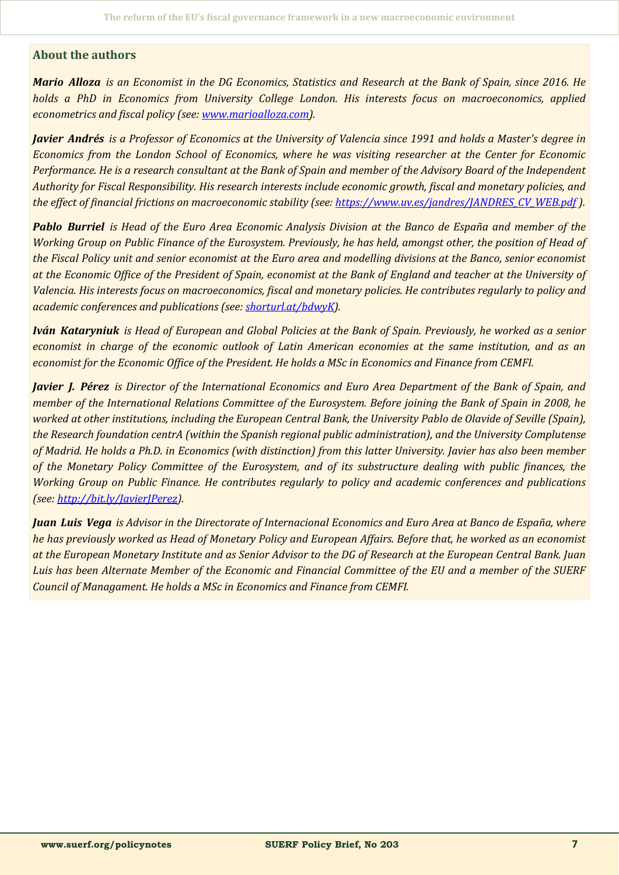#### **About the authors**

*Mario Alloza is an Economist in the DG Economics, Statistics and Research at the Bank of Spain, since 2016. He holds a PhD in Economics from University College London. His interests focus on macroeconomics, applied econometrics and fiscal policy (see: [www.marioalloza.com\)](http://www.marioalloza.com).* 

*Javier Andrés is a Professor of Economics at the University of Valencia since 1991 and holds a Master's degree in Economics from the London School of Economics, where he was visiting researcher at the Center for Economic Performance. He is a research consultant at the Bank of Spain and member of the Advisory Board of the Independent Authority for Fiscal Responsibility. His research interests include economic growth, fiscal and monetary policies, and the effect of financial frictions on macroeconomic stability (see: [https://www.uv.es/jandres/JANDRES\\_CV\\_WEB.pdf](https://www.uv.es/jandres/JANDRES_CV_WEB.pdf) ).*

*Pablo Burriel is Head of the Euro Area Economic Analysis Division at the Banco de España and member of the Working Group on Public Finance of the Eurosystem. Previously, he has held, amongst other, the position of Head of the Fiscal Policy unit and senior economist at the Euro area and modelling divisions at the Banco, senior economist at the Economic Office of the President of Spain, economist at the Bank of England and teacher at the University of Valencia. His interests focus on macroeconomics, fiscal and monetary policies. He contributes regularly to policy and academic conferences and publications (see: [shorturl.at/bdwyK\).](https://scholar.google.com/citations?user=-FQk0L4AAAAJ&hl=en)*

*Iván Kataryniuk is Head of European and Global Policies at the Bank of Spain. Previously, he worked as a senior economist in charge of the economic outlook of Latin American economies at the same institution, and as an economist for the Economic Office of the President. He holds a MSc in Economics and Finance from CEMFI.*

*Javier J. Pérez is Director of the International Economics and Euro Area Department of the Bank of Spain, and member of the International Relations Committee of the Eurosystem. Before joining the Bank of Spain in 2008, he worked at other institutions, including the European Central Bank, the University Pablo de Olavide of Seville (Spain), the Research foundation centrA (within the Spanish regional public administration), and the University Complutense of Madrid. He holds a Ph.D. in Economics (with distinction) from this latter University. Javier has also been member of the Monetary Policy Committee of the Eurosystem, and of its substructure dealing with public finances, the Working Group on Public Finance. He contributes regularly to policy and academic conferences and publications (see: [http://bit.ly/JavierJPerez\).](http://bit.ly/JavierJPerez)*

*Juan Luis Vega is Advisor in the Directorate of Internacional Economics and Euro Area at Banco de España, where he has previously worked as Head of Monetary Policy and European Affairs. Before that, he worked as an economist at the European Monetary Institute and as Senior Advisor to the DG of Research at the European Central Bank. Juan Luis has been Alternate Member of the Economic and Financial Committee of the EU and a member of the SUERF Council of Managament. He holds a MSc in Economics and Finance from CEMFI.*